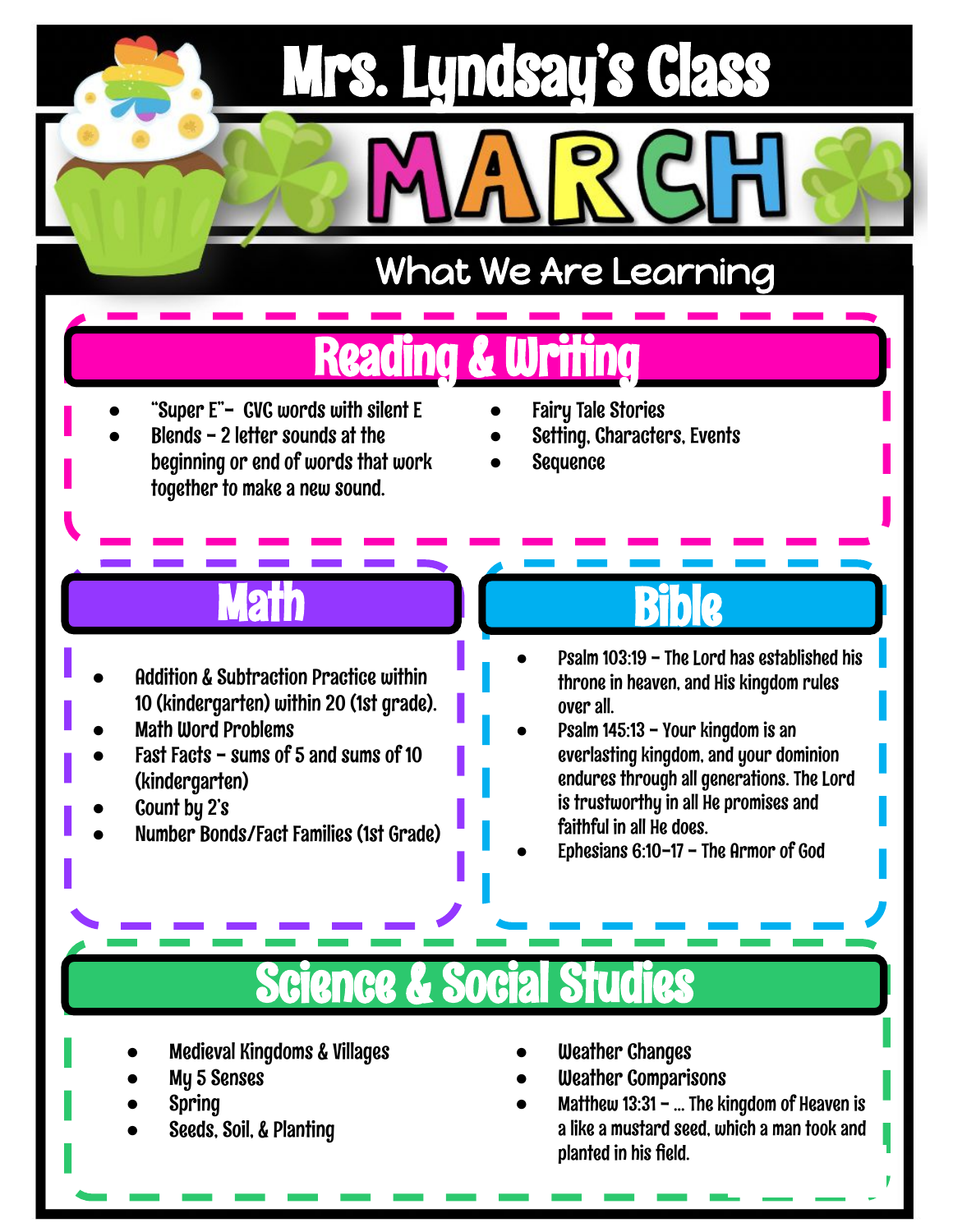